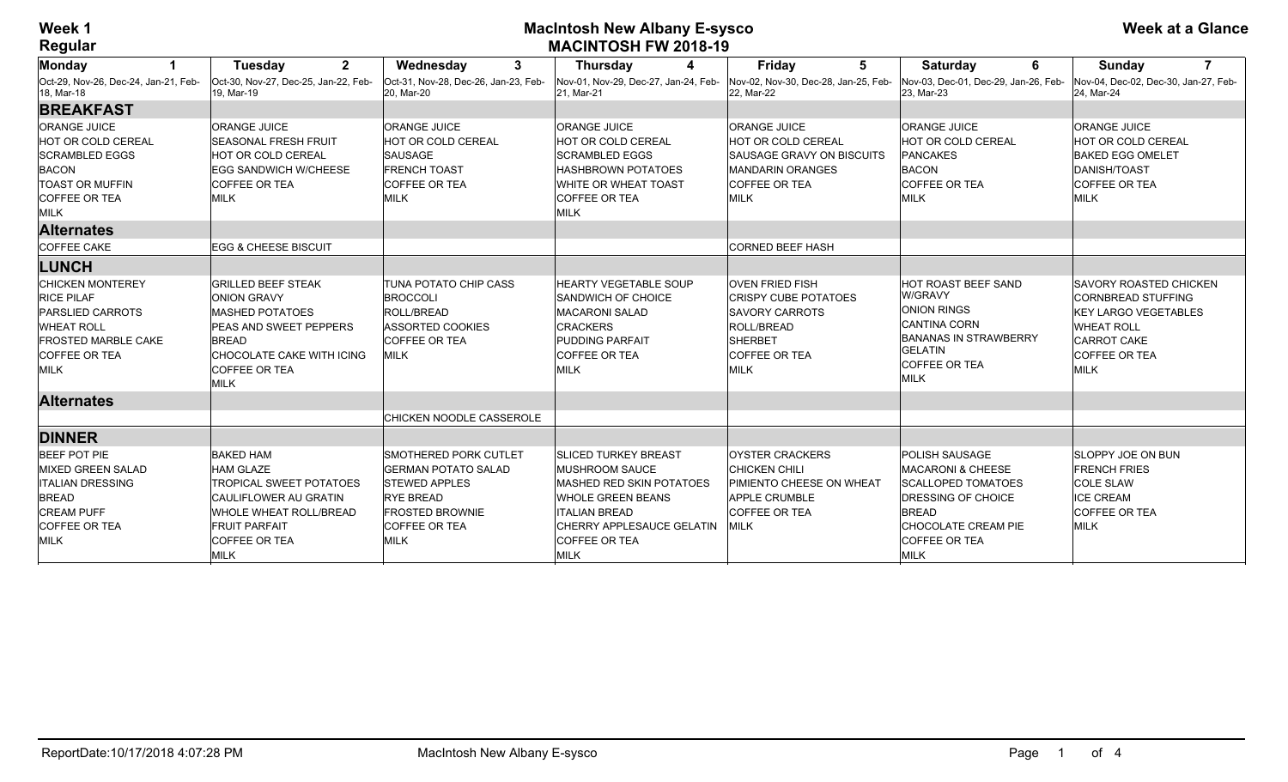## **Week 1 MacIntosh New Albany E-sysco MACINTOSH FW 2018-19**

| Monday                                              | $\mathbf{2}$<br><b>Tuesday</b>                      | $\mathbf{3}$<br>Wednesday                          | <b>Thursday</b><br>4                               | <b>Friday</b><br>5                                 | 6<br><b>Saturday</b>                               | $\overline{7}$<br><b>Sunday</b>                    |
|-----------------------------------------------------|-----------------------------------------------------|----------------------------------------------------|----------------------------------------------------|----------------------------------------------------|----------------------------------------------------|----------------------------------------------------|
| lOct-29. Nov-26. Dec-24. Jan-21. Feb-<br>18, Mar-18 | lOct-30, Nov-27, Dec-25, Jan-22, Feb-<br>19. Mar-19 | Oct-31, Nov-28, Dec-26, Jan-23, Feb-<br>20. Mar-20 | Nov-01. Nov-29. Dec-27. Jan-24. Feb-<br>21. Mar-21 | Nov-02, Nov-30, Dec-28, Jan-25, Feb-<br>22. Mar-22 | Nov-03, Dec-01, Dec-29, Jan-26, Feb-<br>23. Mar-23 | Nov-04, Dec-02, Dec-30, Jan-27, Feb-<br>24. Mar-24 |
| <b>BREAKFAST</b>                                    |                                                     |                                                    |                                                    |                                                    |                                                    |                                                    |
| <b>ORANGE JUICE</b>                                 | <b>ORANGE JUICE</b>                                 | <b>ORANGE JUICE</b>                                | <b>ORANGE JUICE</b>                                | <b>ORANGE JUICE</b>                                | <b>ORANGE JUICE</b>                                | <b>ORANGE JUICE</b>                                |
| <b>HOT OR COLD CEREAL</b>                           | <b>SEASONAL FRESH FRUIT</b>                         | <b>HOT OR COLD CEREAL</b>                          | HOT OR COLD CEREAL                                 | <b>HOT OR COLD CEREAL</b>                          | <b>HOT OR COLD CEREAL</b>                          | HOT OR COLD CEREAL                                 |
| <b>SCRAMBLED EGGS</b>                               | <b>HOT OR COLD CEREAL</b>                           | <b>SAUSAGE</b>                                     | <b>SCRAMBLED EGGS</b>                              | <b>SAUSAGE GRAVY ON BISCUITS</b>                   | <b>PANCAKES</b>                                    | <b>BAKED EGG OMELET</b>                            |
| <b>BACON</b>                                        | <b>EGG SANDWICH W/CHEESE</b>                        | <b>FRENCH TOAST</b>                                | <b>HASHBROWN POTATOES</b>                          | MANDARIN ORANGES                                   | <b>BACON</b>                                       | DANISH/TOAST                                       |
| <b>TOAST OR MUFFIN</b>                              | <b>COFFEE OR TEA</b>                                | <b>COFFEE OR TEA</b>                               | WHITE OR WHEAT TOAST                               | <b>COFFEE OR TEA</b>                               | <b>COFFEE OR TEA</b>                               | <b>COFFEE OR TEA</b>                               |
| <b>COFFEE OR TEA</b>                                | <b>MILK</b>                                         | <b>MILK</b>                                        | <b>COFFEE OR TEA</b>                               | <b>MILK</b>                                        | <b>MILK</b>                                        | <b>MILK</b>                                        |
| MILK                                                |                                                     |                                                    | MILK                                               |                                                    |                                                    |                                                    |
| <b>Alternates</b>                                   |                                                     |                                                    |                                                    |                                                    |                                                    |                                                    |
| COFFEE CAKE                                         | <b>EGG &amp; CHEESE BISCUIT</b>                     |                                                    |                                                    | <b>CORNED BEEF HASH</b>                            |                                                    |                                                    |
| LUNCH                                               |                                                     |                                                    |                                                    |                                                    |                                                    |                                                    |
| <b>CHICKEN MONTEREY</b>                             | <b>GRILLED BEEF STEAK</b>                           | <b>TUNA POTATO CHIP CASS</b>                       | <b>HEARTY VEGETABLE SOUP</b>                       | <b>OVEN FRIED FISH</b>                             | <b>HOT ROAST BEEF SAND</b>                         | <b>SAVORY ROASTED CHICKEN</b>                      |
| <b>RICE PILAF</b>                                   | <b>ONION GRAVY</b>                                  | <b>BROCCOLI</b>                                    | <b>SANDWICH OF CHOICE</b>                          | <b>CRISPY CUBE POTATOES</b>                        | W/GRAVY                                            | <b>CORNBREAD STUFFING</b>                          |
| <b>PARSLIED CARROTS</b>                             | <b>MASHED POTATOES</b>                              | <b>ROLL/BREAD</b>                                  | MACARONI SALAD                                     | <b>SAVORY CARROTS</b>                              | ONION RINGS                                        | <b>KEY LARGO VEGETABLES</b>                        |
| <b>WHEAT ROLL</b>                                   | PEAS AND SWEET PEPPERS                              | <b>ASSORTED COOKIES</b>                            | <b>CRACKERS</b>                                    | <b>ROLL/BREAD</b>                                  | CANTINA CORN                                       | <b>WHEAT ROLL</b>                                  |
| <b>FROSTED MARBLE CAKE</b>                          | <b>BREAD</b>                                        | <b>COFFEE OR TEA</b>                               | <b>PUDDING PARFAIT</b>                             | <b>SHERBET</b>                                     | <b>BANANAS IN STRAWBERRY</b><br><b>GELATIN</b>     | CARROT CAKE                                        |
| COFFEE OR TEA                                       | CHOCOLATE CAKE WITH ICING                           | <b>MILK</b>                                        | <b>COFFEE OR TEA</b>                               | COFFEE OR TEA                                      | <b>COFFEE OR TEA</b>                               | <b>COFFEE OR TEA</b>                               |
| MILK                                                | <b>COFFEE OR TEA</b><br><b>MILK</b>                 |                                                    | MILK                                               | <b>MILK</b>                                        | MILK                                               | MILK                                               |
|                                                     |                                                     |                                                    |                                                    |                                                    |                                                    |                                                    |
| <b>Alternates</b>                                   |                                                     |                                                    |                                                    |                                                    |                                                    |                                                    |
|                                                     |                                                     | CHICKEN NOODLE CASSEROLE                           |                                                    |                                                    |                                                    |                                                    |
| <b>DINNER</b>                                       |                                                     |                                                    |                                                    |                                                    |                                                    |                                                    |
| BEEF POT PIE                                        | <b>BAKED HAM</b>                                    | <b>SMOTHERED PORK CUTLET</b>                       | <b>SLICED TURKEY BREAST</b>                        | OYSTER CRACKERS                                    | <b>POLISH SAUSAGE</b>                              | <b>SLOPPY JOE ON BUN</b>                           |
| MIXED GREEN SALAD                                   | <b>HAM GLAZE</b>                                    | <b>GERMAN POTATO SALAD</b>                         | <b>IMUSHROOM SAUCE</b>                             | <b>CHICKEN CHILI</b>                               | <b>MACARONI &amp; CHEESE</b>                       | <b>FRENCH FRIES</b>                                |
| <b>ITALIAN DRESSING</b>                             | <b>TROPICAL SWEET POTATOES</b>                      | <b>STEWED APPLES</b>                               | <b>IMASHED RED SKIN POTATOES</b>                   | PIMIENTO CHEESE ON WHEAT                           | SCALLOPED TOMATOES                                 | <b>COLE SLAW</b>                                   |
| <b>BREAD</b>                                        | <b>CAULIFLOWER AU GRATIN</b>                        | <b>RYE BREAD</b>                                   | <b>WHOLE GREEN BEANS</b>                           | <b>APPLE CRUMBLE</b>                               | <b>DRESSING OF CHOICE</b>                          | <b>ICE CREAM</b>                                   |
| <b>CREAM PUFF</b>                                   | <b>WHOLE WHEAT ROLL/BREAD</b>                       | <b>FROSTED BROWNIE</b>                             | <b>ITALIAN BREAD</b>                               | <b>COFFEE OR TEA</b>                               | <b>BREAD</b>                                       | <b>COFFEE OR TEA</b>                               |
| COFFEE OR TEA                                       | <b>FRUIT PARFAIT</b>                                | COFFEE OR TEA                                      | CHERRY APPLESAUCE GELATIN                          | <b>MILK</b>                                        | CHOCOLATE CREAM PIE                                | MILK                                               |
| MILK                                                | <b>COFFEE OR TEA</b>                                | <b>MILK</b>                                        | <b>COFFEE OR TEA</b>                               |                                                    | <b>COFFEE OR TEA</b>                               |                                                    |
|                                                     | MILK                                                |                                                    | <b>MILK</b>                                        |                                                    | MILK                                               |                                                    |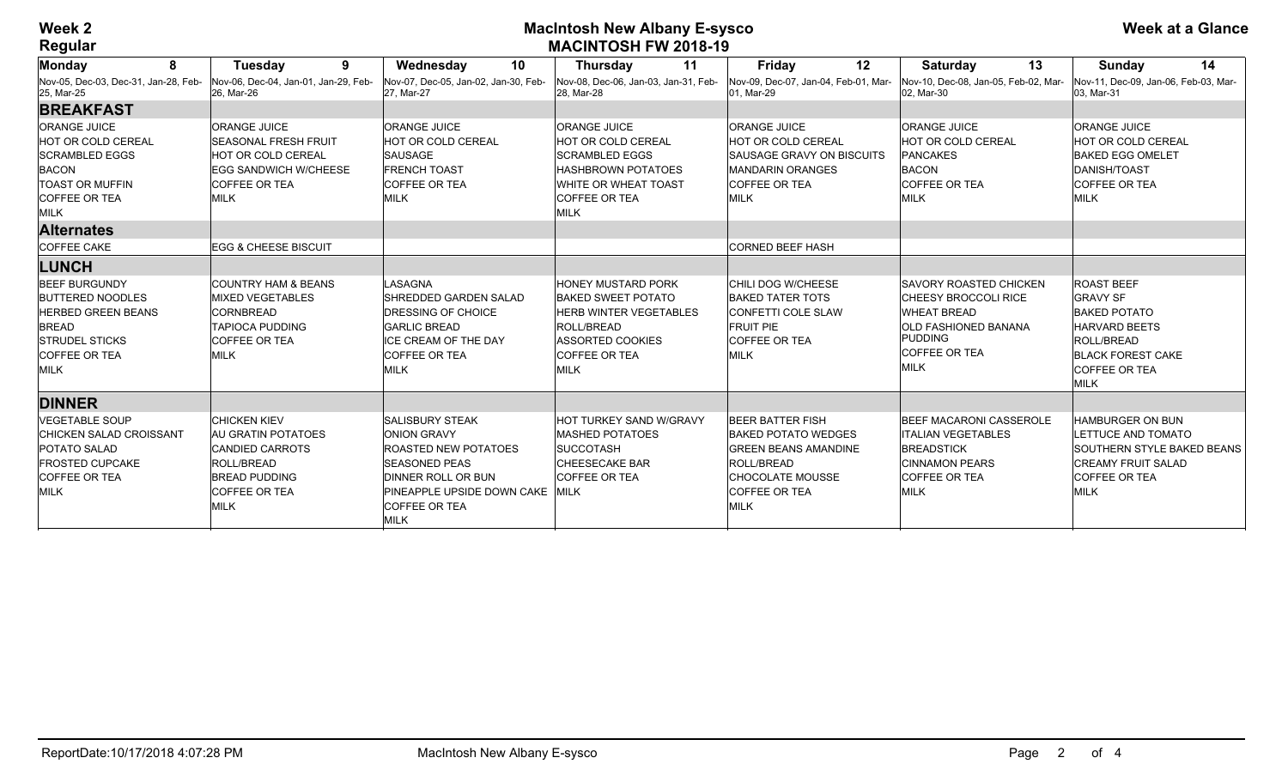## **Week 2 MacIntosh New Albany E-sysco MACINTOSH FW 2018-19**

| 8<br>Monday                                                                                                                                           | 9<br><b>Tuesday</b>                                                                                                                                     | 10<br>Wednesday                                                                                                                                                                                            | 11<br><b>Thursday</b>                                                                                                                                                   | 12<br><b>Friday</b>                                                                                                                                           | 13<br><b>Saturday</b>                                                                                                                                         | 14<br><b>Sunday</b>                                                                                                                                           |
|-------------------------------------------------------------------------------------------------------------------------------------------------------|---------------------------------------------------------------------------------------------------------------------------------------------------------|------------------------------------------------------------------------------------------------------------------------------------------------------------------------------------------------------------|-------------------------------------------------------------------------------------------------------------------------------------------------------------------------|---------------------------------------------------------------------------------------------------------------------------------------------------------------|---------------------------------------------------------------------------------------------------------------------------------------------------------------|---------------------------------------------------------------------------------------------------------------------------------------------------------------|
| Nov-05, Dec-03, Dec-31, Jan-28, Feb-<br>25, Mar-25                                                                                                    | Nov-06, Dec-04, Jan-01, Jan-29, Feb-<br>26. Mar-26                                                                                                      | Nov-07, Dec-05, Jan-02, Jan-30, Feb-<br>27, Mar-27                                                                                                                                                         | Nov-08, Dec-06, Jan-03, Jan-31, Feb-<br>28, Mar-28                                                                                                                      | Nov-09, Dec-07, Jan-04, Feb-01, Mar-<br>l01. Mar-29                                                                                                           | Nov-10. Dec-08. Jan-05. Feb-02. Mar-<br>02, Mar-30                                                                                                            | Nov-11, Dec-09, Jan-06, Feb-03, Mar-<br>03. Mar-31                                                                                                            |
| <b>BREAKFAST</b>                                                                                                                                      |                                                                                                                                                         |                                                                                                                                                                                                            |                                                                                                                                                                         |                                                                                                                                                               |                                                                                                                                                               |                                                                                                                                                               |
| <b>ORANGE JUICE</b><br><b>HOT OR COLD CEREAL</b><br><b>SCRAMBLED EGGS</b><br><b>BACON</b><br><b>TOAST OR MUFFIN</b><br><b>COFFEE OR TEA</b><br>MILK   | <b>ORANGE JUICE</b><br><b>SEASONAL FRESH FRUIT</b><br><b>HOT OR COLD CEREAL</b><br>EGG SANDWICH W/CHEESE<br><b>COFFEE OR TEA</b><br>MILK                | <b>ORANGE JUICE</b><br>HOT OR COLD CEREAL<br><b>SAUSAGE</b><br><b>FRENCH TOAST</b><br><b>COFFEE OR TEA</b><br><b>MILK</b>                                                                                  | <b>ORANGE JUICE</b><br>HOT OR COLD CEREAL<br><b>SCRAMBLED EGGS</b><br><b>HASHBROWN POTATOES</b><br><b>WHITE OR WHEAT TOAST</b><br><b>COFFEE OR TEA</b><br><b>MILK</b>   | <b>ORANGE JUICE</b><br><b>HOT OR COLD CEREAL</b><br>SAUSAGE GRAVY ON BISCUITS<br><b>MANDARIN ORANGES</b><br><b>COFFEE OR TEA</b><br>MILK                      | <b>ORANGE JUICE</b><br><b>HOT OR COLD CEREAL</b><br><b>PANCAKES</b><br><b>BACON</b><br><b>COFFEE OR TEA</b><br>MILK                                           | <b>ORANGE JUICE</b><br><b>HOT OR COLD CEREAL</b><br><b>BAKED EGG OMELET</b><br>DANISH/TOAST<br><b>COFFEE OR TEA</b><br>MILK                                   |
| <b>Alternates</b>                                                                                                                                     |                                                                                                                                                         |                                                                                                                                                                                                            |                                                                                                                                                                         |                                                                                                                                                               |                                                                                                                                                               |                                                                                                                                                               |
| <b>COFFEE CAKE</b>                                                                                                                                    | <b>EGG &amp; CHEESE BISCUIT</b>                                                                                                                         |                                                                                                                                                                                                            |                                                                                                                                                                         | <b>CORNED BEEF HASH</b>                                                                                                                                       |                                                                                                                                                               |                                                                                                                                                               |
| <b>LUNCH</b>                                                                                                                                          |                                                                                                                                                         |                                                                                                                                                                                                            |                                                                                                                                                                         |                                                                                                                                                               |                                                                                                                                                               |                                                                                                                                                               |
| <b>BEEF BURGUNDY</b><br><b>BUTTERED NOODLES</b><br><b>HERBED GREEN BEANS</b><br><b>BREAD</b><br><b>STRUDEL STICKS</b><br><b>COFFEE OR TEA</b><br>MILK | <b>COUNTRY HAM &amp; BEANS</b><br><b>MIXED VEGETABLES</b><br><b>CORNBREAD</b><br><b>TAPIOCA PUDDING</b><br>ICOFFEE OR TEA<br>MILK                       | LASAGNA<br>SHREDDED GARDEN SALAD<br>DRESSING OF CHOICE<br><b>GARLIC BREAD</b><br><b>ICE CREAM OF THE DAY</b><br><b>COFFEE OR TEA</b><br><b>MILK</b>                                                        | <b>HONEY MUSTARD PORK</b><br><b>BAKED SWEET POTATO</b><br><b>HERB WINTER VEGETABLES</b><br><b>ROLL/BREAD</b><br>ASSORTED COOKIES<br><b>COFFEE OR TEA</b><br><b>MILK</b> | <b>CHILI DOG W/CHEESE</b><br><b>BAKED TATER TOTS</b><br>CONFETTI COLE SLAW<br><b>FRUIT PIE</b><br><b>COFFEE OR TEA</b><br>MILK                                | <b>ISAVORY ROASTED CHICKEN</b><br>CHEESY BROCCOLI RICE<br><b>WHEAT BREAD</b><br><b>OLD FASHIONED BANANA</b><br><b>PUDDING</b><br><b>COFFEE OR TEA</b><br>MILK | <b>ROAST BEEF</b><br><b>GRAVY SF</b><br><b>BAKED POTATO</b><br><b>HARVARD BEETS</b><br>ROLL/BREAD<br><b>BLACK FOREST CAKE</b><br><b>COFFEE OR TEA</b><br>MILK |
| <b>DINNER</b>                                                                                                                                         |                                                                                                                                                         |                                                                                                                                                                                                            |                                                                                                                                                                         |                                                                                                                                                               |                                                                                                                                                               |                                                                                                                                                               |
| <b>VEGETABLE SOUP</b><br><b>CHICKEN SALAD CROISSANT</b><br>POTATO SALAD<br><b>FROSTED CUPCAKE</b><br>COFFEE OR TEA<br>MILK                            | <b>CHICKEN KIEV</b><br><b>AU GRATIN POTATOES</b><br><b>CANDIED CARROTS</b><br><b>ROLL/BREAD</b><br><b>BREAD PUDDING</b><br><b>COFFEE OR TEA</b><br>MILK | <b>SALISBURY STEAK</b><br><b>ONION GRAVY</b><br><b>ROASTED NEW POTATOES</b><br><b>SEASONED PEAS</b><br><b>DINNER ROLL OR BUN</b><br>PINEAPPLE UPSIDE DOWN CAKE MILK<br><b>COFFEE OR TEA</b><br><b>MILK</b> | HOT TURKEY SAND W/GRAVY<br><b>MASHED POTATOES</b><br><b>ISUCCOTASH</b><br><b>CHEESECAKE BAR</b><br><b>COFFEE OR TEA</b>                                                 | <b>BEER BATTER FISH</b><br><b>BAKED POTATO WEDGES</b><br><b>GREEN BEANS AMANDINE</b><br><b>ROLL/BREAD</b><br>CHOCOLATE MOUSSE<br><b>COFFEE OR TEA</b><br>MILK | <b>BEEF MACARONI CASSEROLE</b><br><b>ITALIAN VEGETABLES</b><br><b>BREADSTICK</b><br><b>CINNAMON PEARS</b><br><b>COFFEE OR TEA</b><br>MILK                     | <b>HAMBURGER ON BUN</b><br>LETTUCE AND TOMATO<br><b>SOUTHERN STYLE BAKED BEANS</b><br><b>CREAMY FRUIT SALAD</b><br>COFFEE OR TEA<br>MILK                      |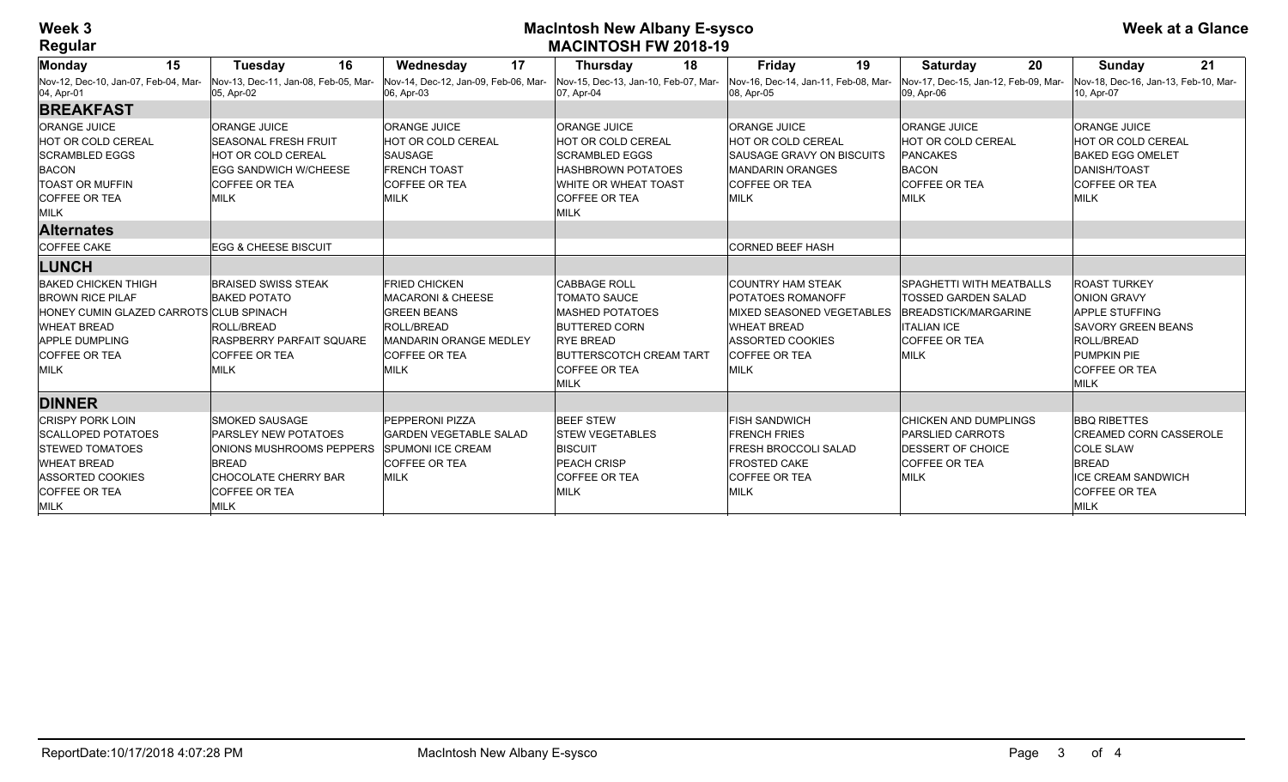## **Week 3 MacIntosh New Albany E-sysco MACINTOSH FW 2018-19**

| 15<br>Monday                                                                                                                                                                    | 16<br><b>Tuesday</b>                                                                                                                                                   | 17<br>Wednesday                                                                                                                                                  | 18<br><b>Thursday</b>                                                                                                                                                       | Friday<br>19                                                                                                                                                                     | 20<br><b>Saturday</b>                                                                                                                              | 21<br>Sunday                                                                                                                                                        |
|---------------------------------------------------------------------------------------------------------------------------------------------------------------------------------|------------------------------------------------------------------------------------------------------------------------------------------------------------------------|------------------------------------------------------------------------------------------------------------------------------------------------------------------|-----------------------------------------------------------------------------------------------------------------------------------------------------------------------------|----------------------------------------------------------------------------------------------------------------------------------------------------------------------------------|----------------------------------------------------------------------------------------------------------------------------------------------------|---------------------------------------------------------------------------------------------------------------------------------------------------------------------|
| Nov-12, Dec-10, Jan-07, Feb-04, Mar-<br>04, Apr-01                                                                                                                              | Nov-13. Dec-11. Jan-08. Feb-05. Mar-<br>05, Apr-02                                                                                                                     | Nov-14, Dec-12, Jan-09, Feb-06, Mar-<br>06, Apr-03                                                                                                               | Nov-15, Dec-13, Jan-10, Feb-07, Mar-<br>07, Apr-04                                                                                                                          | Nov-16, Dec-14, Jan-11, Feb-08, Mar-<br>08, Apr-05                                                                                                                               | Nov-17, Dec-15, Jan-12, Feb-09, Mar-<br>09, Apr-06                                                                                                 | Nov-18, Dec-16, Jan-13, Feb-10, Mar-<br>10, Apr-07                                                                                                                  |
| <b>BREAKFAST</b>                                                                                                                                                                |                                                                                                                                                                        |                                                                                                                                                                  |                                                                                                                                                                             |                                                                                                                                                                                  |                                                                                                                                                    |                                                                                                                                                                     |
| <b>ORANGE JUICE</b><br><b>HOT OR COLD CEREAL</b><br><b>SCRAMBLED EGGS</b><br><b>BACON</b><br><b>TOAST OR MUFFIN</b><br><b>COFFEE OR TEA</b><br>MILK                             | <b>ORANGE JUICE</b><br><b>SEASONAL FRESH FRUIT</b><br><b>HOT OR COLD CEREAL</b><br><b>EGG SANDWICH W/CHEESE</b><br><b>COFFEE OR TEA</b><br>MILK                        | <b>ORANGE JUICE</b><br>HOT OR COLD CEREAL<br><b>SAUSAGE</b><br><b>FRENCH TOAST</b><br><b>COFFEE OR TEA</b><br><b>MILK</b>                                        | <b>ORANGE JUICE</b><br>HOT OR COLD CEREAL<br><b>SCRAMBLED EGGS</b><br><b>HASHBROWN POTATOES</b><br>WHITE OR WHEAT TOAST<br><b>COFFEE OR TEA</b><br>MILK                     | <b>ORANGE JUICE</b><br><b>HOT OR COLD CEREAL</b><br><b>SAUSAGE GRAVY ON BISCUITS</b><br><b>MANDARIN ORANGES</b><br><b>COFFEE OR TEA</b><br><b>MILK</b>                           | <b>ORANGE JUICE</b><br>HOT OR COLD CEREAL<br><b>PANCAKES</b><br><b>BACON</b><br><b>COFFEE OR TEA</b><br><b>MILK</b>                                | <b>ORANGE JUICE</b><br><b>HOT OR COLD CEREAL</b><br><b>BAKED EGG OMELET</b><br>DANISH/TOAST<br><b>COFFEE OR TEA</b><br><b>MILK</b>                                  |
| <b>Alternates</b>                                                                                                                                                               |                                                                                                                                                                        |                                                                                                                                                                  |                                                                                                                                                                             |                                                                                                                                                                                  |                                                                                                                                                    |                                                                                                                                                                     |
| <b>COFFEE CAKE</b>                                                                                                                                                              | <b>EGG &amp; CHEESE BISCUIT</b>                                                                                                                                        |                                                                                                                                                                  |                                                                                                                                                                             | <b>CORNED BEEF HASH</b>                                                                                                                                                          |                                                                                                                                                    |                                                                                                                                                                     |
| <b>LUNCH</b>                                                                                                                                                                    |                                                                                                                                                                        |                                                                                                                                                                  |                                                                                                                                                                             |                                                                                                                                                                                  |                                                                                                                                                    |                                                                                                                                                                     |
| <b>BAKED CHICKEN THIGH</b><br><b>BROWN RICE PILAF</b><br>HONEY CUMIN GLAZED CARROTS CLUB SPINACH<br><b>WHEAT BREAD</b><br><b>APPLE DUMPLING</b><br><b>COFFEE OR TEA</b><br>MILK | <b>BRAISED SWISS STEAK</b><br><b>BAKED POTATO</b><br><b>ROLL/BREAD</b><br>RASPBERRY PARFAIT SOUARE<br><b>COFFEE OR TEA</b><br>MILK                                     | <b>FRIED CHICKEN</b><br><b>MACARONI &amp; CHEESE</b><br><b>GREEN BEANS</b><br>ROLL/BREAD<br><b>MANDARIN ORANGE MEDLEY</b><br><b>COFFEE OR TEA</b><br><b>MILK</b> | <b>CABBAGE ROLL</b><br><b>TOMATO SAUCE</b><br>MASHED POTATOES<br><b>BUTTERED CORN</b><br><b>RYE BREAD</b><br><b>BUTTERSCOTCH CREAM TART</b><br><b>COFFEE OR TEA</b><br>MILK | <b>COUNTRY HAM STEAK</b><br><b>POTATOES ROMANOFF</b><br><b>MIXED SEASONED VEGETABLES</b><br><b>WHEAT BREAD</b><br><b>ASSORTED COOKIES</b><br><b>COFFEE OR TEA</b><br><b>MILK</b> | <b>SPAGHETTI WITH MEATBALLS</b><br><b>TOSSED GARDEN SALAD</b><br>BREADSTICK/MARGARINE<br><b>ITALIAN ICE</b><br><b>COFFEE OR TEA</b><br><b>MILK</b> | <b>ROAST TURKEY</b><br><b>ONION GRAVY</b><br><b>APPLE STUFFING</b><br><b>SAVORY GREEN BEANS</b><br><b>ROLL/BREAD</b><br>PUMPKIN PIE<br><b>COFFEE OR TEA</b><br>MILK |
| <b>DINNER</b>                                                                                                                                                                   |                                                                                                                                                                        |                                                                                                                                                                  |                                                                                                                                                                             |                                                                                                                                                                                  |                                                                                                                                                    |                                                                                                                                                                     |
| <b>CRISPY PORK LOIN</b><br><b>SCALLOPED POTATOES</b><br><b>STEWED TOMATOES</b><br><b>WHEAT BREAD</b><br><b>ASSORTED COOKIES</b><br><b>COFFEE OR TEA</b><br><b>MILK</b>          | <b>SMOKED SAUSAGE</b><br><b>PARSLEY NEW POTATOES</b><br><b>ONIONS MUSHROOMS PEPPERS</b><br><b>BREAD</b><br><b>CHOCOLATE CHERRY BAR</b><br><b>COFFEE OR TEA</b><br>MILK | <b>PEPPERONI PIZZA</b><br><b>GARDEN VEGETABLE SALAD</b><br><b>SPUMONI ICE CREAM</b><br><b>COFFEE OR TEA</b><br><b>MILK</b>                                       | <b>BEEF STEW</b><br><b>STEW VEGETABLES</b><br><b>BISCUIT</b><br><b>PEACH CRISP</b><br><b>COFFEE OR TEA</b><br><b>MILK</b>                                                   | <b>FISH SANDWICH</b><br><b>FRENCH FRIES</b><br><b>FRESH BROCCOLI SALAD</b><br><b>FROSTED CAKE</b><br><b>COFFEE OR TEA</b><br><b>MILK</b>                                         | <b>CHICKEN AND DUMPLINGS</b><br><b>PARSLIED CARROTS</b><br><b>IDESSERT OF CHOICE</b><br><b>COFFEE OR TEA</b><br>MILK                               | <b>BBO RIBETTES</b><br><b>CREAMED CORN CASSEROLE</b><br><b>COLE SLAW</b><br><b>BREAD</b><br><b>ICE CREAM SANDWICH</b><br><b>COFFEE OR TEA</b><br><b>MILK</b>        |